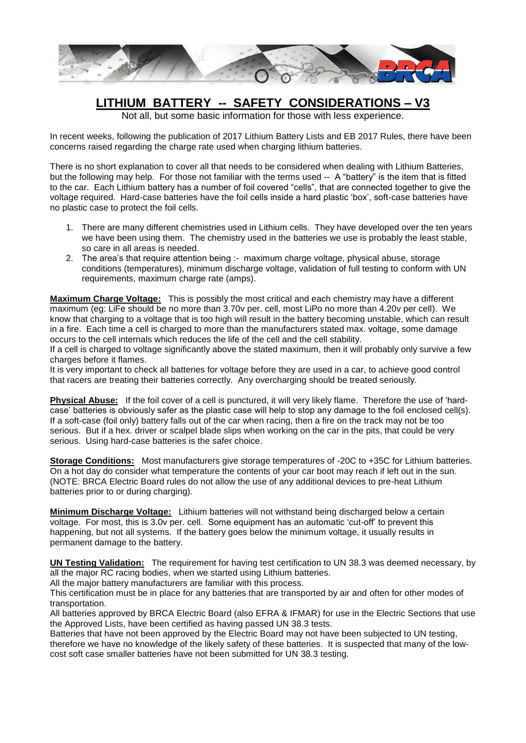

## **LITHIUM BATTERY -- SAFETY CONSIDERATIONS – V3**

Not all, but some basic information for those with less experience.

In recent weeks, following the publication of 2017 Lithium Battery Lists and EB 2017 Rules, there have been concerns raised regarding the charge rate used when charging lithium batteries.

There is no short explanation to cover all that needs to be considered when dealing with Lithium Batteries, but the following may help. For those not familiar with the terms used -- A "battery" is the item that is fitted to the car. Each Lithium battery has a number of foil covered "cells", that are connected together to give the voltage required. Hard-case batteries have the foil cells inside a hard plastic 'box', soft-case batteries have no plastic case to protect the foil cells.

- 1. There are many different chemistries used in Lithium cells. They have developed over the ten years we have been using them. The chemistry used in the batteries we use is probably the least stable, so care in all areas is needed.
- 2. The area's that require attention being :- maximum charge voltage, physical abuse, storage conditions (temperatures), minimum discharge voltage, validation of full testing to conform with UN requirements, maximum charge rate (amps).

**Maximum Charge Voltage:** This is possibly the most critical and each chemistry may have a different maximum (eg: LiFe should be no more than 3.70v per. cell, most LiPo no more than 4.20v per cell). We know that charging to a voltage that is too high will result in the battery becoming unstable, which can result in a fire. Each time a cell is charged to more than the manufacturers stated max. voltage, some damage occurs to the cell internals which reduces the life of the cell and the cell stability.

If a cell is charged to voltage significantly above the stated maximum, then it will probably only survive a few charges before it flames.

It is very important to check all batteries for voltage before they are used in a car, to achieve good control that racers are treating their batteries correctly. Any overcharging should be treated seriously.

**Physical Abuse:** If the foil cover of a cell is punctured, it will very likely flame. Therefore the use of 'hardcase' batteries is obviously safer as the plastic case will help to stop any damage to the foil enclosed cell(s). If a soft-case (foil only) battery falls out of the car when racing, then a fire on the track may not be too serious. But if a hex. driver or scalpel blade slips when working on the car in the pits, that could be very serious. Using hard-case batteries is the safer choice.

**Storage Conditions:** Most manufacturers give storage temperatures of -20C to +35C for Lithium batteries. On a hot day do consider what temperature the contents of your car boot may reach if left out in the sun. (NOTE: BRCA Electric Board rules do not allow the use of any additional devices to pre-heat Lithium batteries prior to or during charging).

**Minimum Discharge Voltage:** Lithium batteries will not withstand being discharged below a certain voltage. For most, this is 3.0v per. cell. Some equipment has an automatic 'cut-off' to prevent this happening, but not all systems. If the battery goes below the minimum voltage, it usually results in permanent damage to the battery.

**UN Testing Validation:** The requirement for having test certification to UN 38.3 was deemed necessary, by all the major RC racing bodies, when we started using Lithium batteries.

All the major battery manufacturers are familiar with this process.

This certification must be in place for any batteries that are transported by air and often for other modes of transportation.

All batteries approved by BRCA Electric Board (also EFRA & IFMAR) for use in the Electric Sections that use the Approved Lists, have been certified as having passed UN 38.3 tests.

Batteries that have not been approved by the Electric Board may not have been subjected to UN testing, therefore we have no knowledge of the likely safety of these batteries. It is suspected that many of the lowcost soft case smaller batteries have not been submitted for UN 38.3 testing.